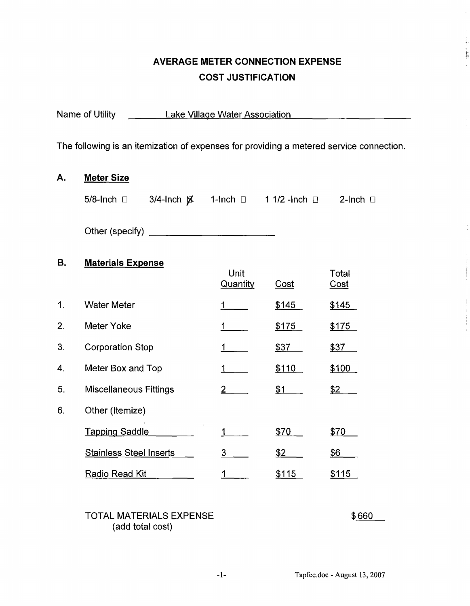# **AVERAGE METER CONNECTION EXPENSE COST JUSTIFICATION**

| Lake Village Water Association<br>Name of Utility                                       |                |  |                                              |                                                                                      |  |  |  |  |
|-----------------------------------------------------------------------------------------|----------------|--|----------------------------------------------|--------------------------------------------------------------------------------------|--|--|--|--|
| The following is an itemization of expenses for providing a metered service connection. |                |  |                                              |                                                                                      |  |  |  |  |
| <b>Meter Size</b>                                                                       |                |  |                                              |                                                                                      |  |  |  |  |
| 5/8-lnch $\square$                                                                      |                |  |                                              |                                                                                      |  |  |  |  |
|                                                                                         |                |  |                                              |                                                                                      |  |  |  |  |
| <b>Materials Expense</b>                                                                |                |  |                                              |                                                                                      |  |  |  |  |
|                                                                                         |                |  |                                              | Total<br><u>Cost</u>                                                                 |  |  |  |  |
| <b>Water Meter</b>                                                                      |                |  |                                              | \$145                                                                                |  |  |  |  |
| Meter Yoke                                                                              |                |  |                                              | <u>\$175</u>                                                                         |  |  |  |  |
| <b>Corporation Stop</b>                                                                 |                |  |                                              | \$37                                                                                 |  |  |  |  |
| Meter Box and Top                                                                       |                |  |                                              | \$100                                                                                |  |  |  |  |
| <b>Miscellaneous Fittings</b>                                                           |                |  |                                              | \$2                                                                                  |  |  |  |  |
| Other (Itemize)                                                                         |                |  |                                              |                                                                                      |  |  |  |  |
| <b>Tapping Saddle</b>                                                                   |                |  |                                              | \$70                                                                                 |  |  |  |  |
| <b>Stainless Steel Inserts</b>                                                          | $\overline{3}$ |  |                                              | <u>\$6</u>                                                                           |  |  |  |  |
| Radio Read Kit                                                                          | 1              |  |                                              | \$115                                                                                |  |  |  |  |
|                                                                                         |                |  |                                              |                                                                                      |  |  |  |  |
|                                                                                         |                |  | Unit<br><b>Quantity</b><br>$2 \qquad \qquad$ | Cost<br>\$145<br>\$175<br><u>\$37</u><br>\$110<br>\$1<br>\$70<br><u>\$2</u><br>\$115 |  |  |  |  |

#### TOTAL MATERIALS EXPENSE (add total cost)

\$660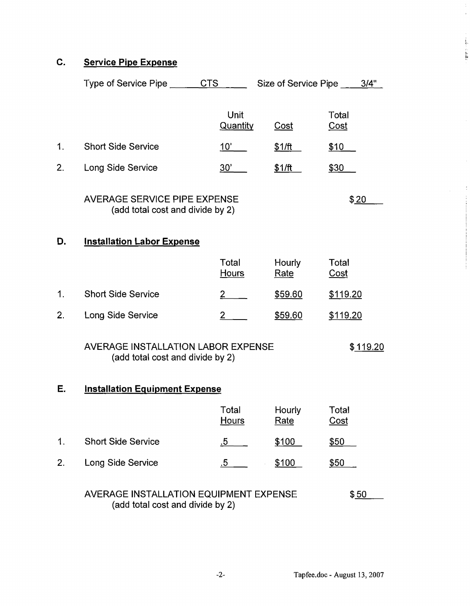## **C. Service Pipe Expense**

|                | Type of Service Pipe ______CTS _____                                               |                       | Size of Service Pipe _____3/4" |                      |  |
|----------------|------------------------------------------------------------------------------------|-----------------------|--------------------------------|----------------------|--|
|                |                                                                                    | Unit<br>Quantity      | Cost                           | Total<br>Cost        |  |
| 1.             | <b>Short Side Service</b>                                                          | 10'                   | <u>\$1/ft</u>                  | <u>\$10</u>          |  |
| 2 <sub>1</sub> | Long Side Service                                                                  | 30'                   | <u>\$1/ft</u>                  | \$30                 |  |
|                | <b>AVERAGE SERVICE PIPE EXPENSE</b><br>(add total cost and divide by 2)            |                       |                                | \$20                 |  |
| D.             | <b>Installation Labor Expense</b>                                                  |                       |                                |                      |  |
|                |                                                                                    | Total<br><u>Hours</u> | Hourly<br>Rate                 | Total<br><u>Cost</u> |  |
| 1.             | <b>Short Side Service</b>                                                          | $\frac{2}{ }$         | <u>\$59.60</u>                 | \$119.20             |  |
| 2.             | Long Side Service                                                                  | $2_{-}$               | \$59.60                        | \$119.20             |  |
|                | AVERAGE INSTALLATION LABOR EXPENSE<br>\$119.20<br>(add total cost and divide by 2) |                       |                                |                      |  |
| Е.             | <b>Installation Equipment Expense</b>                                              |                       |                                |                      |  |
|                |                                                                                    | Total<br><b>Hours</b> | <b>Hourly</b><br>Rate          | Total<br><u>Cost</u> |  |
| 1.             | <b>Short Side Service</b>                                                          | .5                    | \$100                          | \$50                 |  |
| 2.             | Long Side Service                                                                  | $.5\,$                | \$100                          | <u>\$50</u>          |  |
|                |                                                                                    |                       |                                |                      |  |

## AVERAGE INSTALLATION EQUIPMENT EXPENSE  $$50$ (add total cost and divide by 2)

L